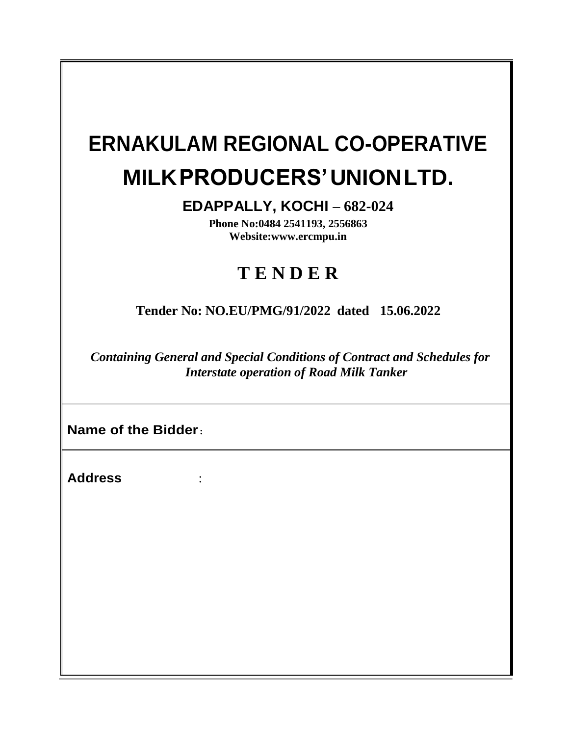# **ERNAKULAM REGIONAL CO-OPERATIVE MILKPRODUCERS'UNIONLTD.**

**EDAPPALLY, KOCHI – 682-024**

**Phone No:0484 2541193, 2556863 Websit[e:www.ercmpu.in](http://www.ercmpu.in/)**

# **T E N D E R**

**Tender No: NO.EU/PMG/91/2022 dated 15.06.2022**

*Containing General and Special Conditions of Contract and Schedules for Interstate operation of Road Milk Tanker*

**Name of the Bidder:**

**Address** :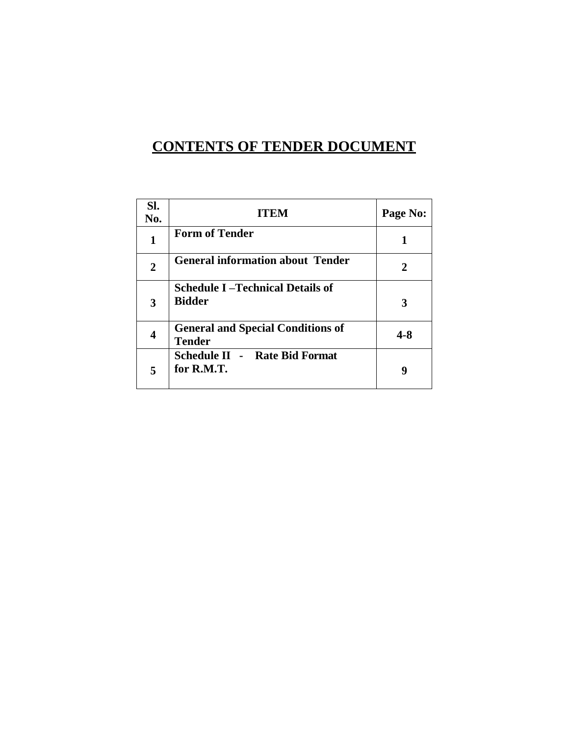# **CONTENTS OF TENDER DOCUMENT**

| Sl.<br>No.     | <b>ITEM</b>                                               | Page No: |
|----------------|-----------------------------------------------------------|----------|
| 1              | <b>Form of Tender</b>                                     |          |
| $\overline{2}$ | <b>General information about Tender</b>                   | 2        |
| 3              | <b>Schedule I-Technical Details of</b><br><b>Bidder</b>   | 3        |
| 4              | <b>General and Special Conditions of</b><br><b>Tender</b> | 4-8      |
| 5              | <b>Schedule II - Rate Bid Format</b><br>for R.M.T.        | q        |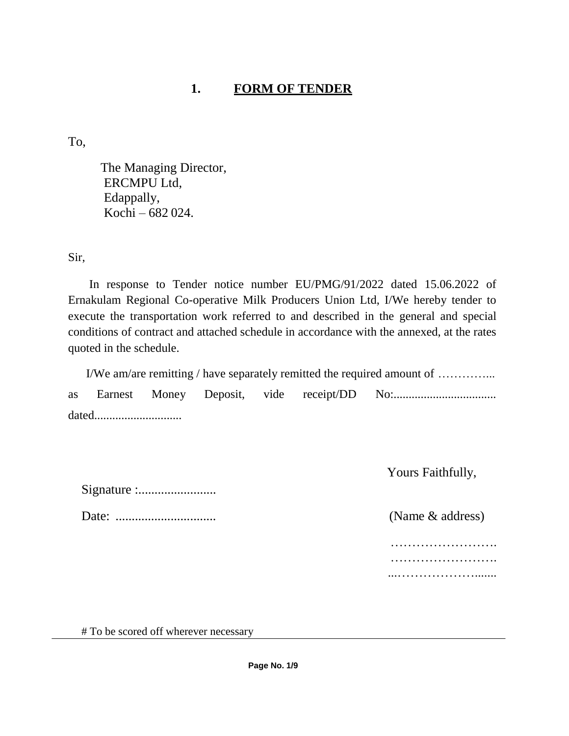# **1. FORM OF TENDER**

To,

The Managing Director, ERCMPU Ltd, Edappally, Kochi – 682 024.

Sir,

In response to Tender notice number EU/PMG/91/2022 dated 15.06.2022 of Ernakulam Regional Co-operative Milk Producers Union Ltd, I/We hereby tender to execute the transportation work referred to and described in the general and special conditions of contract and attached schedule in accordance with the annexed, at the rates quoted in the schedule.

| I/We am/are remitting / have separately remitted the required amount of |  |  |  |  |  |                                               |
|-------------------------------------------------------------------------|--|--|--|--|--|-----------------------------------------------|
|                                                                         |  |  |  |  |  | as Earnest Money Deposit, vide receipt/DD No: |
| dated                                                                   |  |  |  |  |  |                                               |

Yours Faithfully,

Signature :........................

Date: ............................... (Name & address)

…………………………… …………………………… ...……………….......

# To be scored off wherever necessary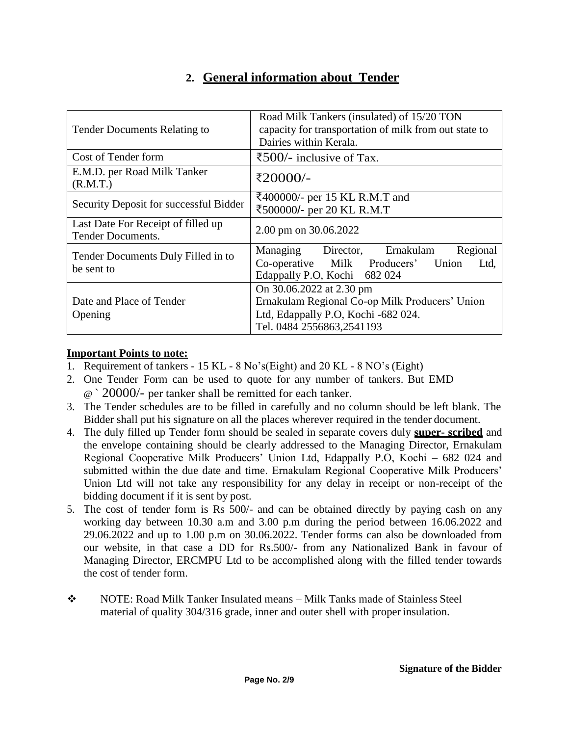## **2. General information about Tender**

| <b>Tender Documents Relating to</b>                            | Road Milk Tankers (insulated) of 15/20 TON<br>capacity for transportation of milk from out state to<br>Dairies within Kerala.                  |  |  |  |
|----------------------------------------------------------------|------------------------------------------------------------------------------------------------------------------------------------------------|--|--|--|
| Cost of Tender form                                            | ₹500/- inclusive of Tax.                                                                                                                       |  |  |  |
| E.M.D. per Road Milk Tanker<br>(R.M.T.)                        | ₹20000/-                                                                                                                                       |  |  |  |
| Security Deposit for successful Bidder                         | ₹400000/- per 15 KL R.M.T and<br>₹500000/- per 20 KL R.M.T                                                                                     |  |  |  |
| Last Date For Receipt of filled up<br><b>Tender Documents.</b> | 2.00 pm on 30.06.2022                                                                                                                          |  |  |  |
| Tender Documents Duly Filled in to<br>be sent to               | Regional<br>Managing Director, Ernakulam<br>Co-operative Milk Producers' Union<br>Ltd,<br>Edappally P.O, Kochi - 682 024                       |  |  |  |
| Date and Place of Tender<br>Opening                            | On 30.06.2022 at 2.30 pm<br>Ernakulam Regional Co-op Milk Producers' Union<br>Ltd, Edappally P.O, Kochi -682 024.<br>Tel. 0484 2556863,2541193 |  |  |  |

#### **Important Points to note:**

- 1. Requirement of tankers 15 KL 8 No's(Eight) and 20 KL 8 NO's (Eight)
- 2. One Tender Form can be used to quote for any number of tankers. But EMD
	- @ ` 20000/- per tanker shall be remitted for each tanker.
- 3. The Tender schedules are to be filled in carefully and no column should be left blank. The Bidder shall put his signature on all the places wherever required in the tender document.
- 4. The duly filled up Tender form should be sealed in separate covers duly **super- scribed** and the envelope containing should be clearly addressed to the Managing Director, Ernakulam Regional Cooperative Milk Producers' Union Ltd, Edappally P.O, Kochi – 682 024 and submitted within the due date and time. Ernakulam Regional Cooperative Milk Producers' Union Ltd will not take any responsibility for any delay in receipt or non-receipt of the bidding document if it is sent by post.
- 5. The cost of tender form is Rs 500/- and can be obtained directly by paying cash on any working day between 10.30 a.m and 3.00 p.m during the period between 16.06.2022 and 29.06.2022 and up to 1.00 p.m on 30.06.2022. Tender forms can also be downloaded from our website, in that case a DD for Rs.500/- from any Nationalized Bank in favour of Managing Director, ERCMPU Ltd to be accomplished along with the filled tender towards the cost of tender form.
- NOTE: Road Milk Tanker Insulated means Milk Tanks made of Stainless Steel material of quality 304/316 grade, inner and outer shell with proper insulation.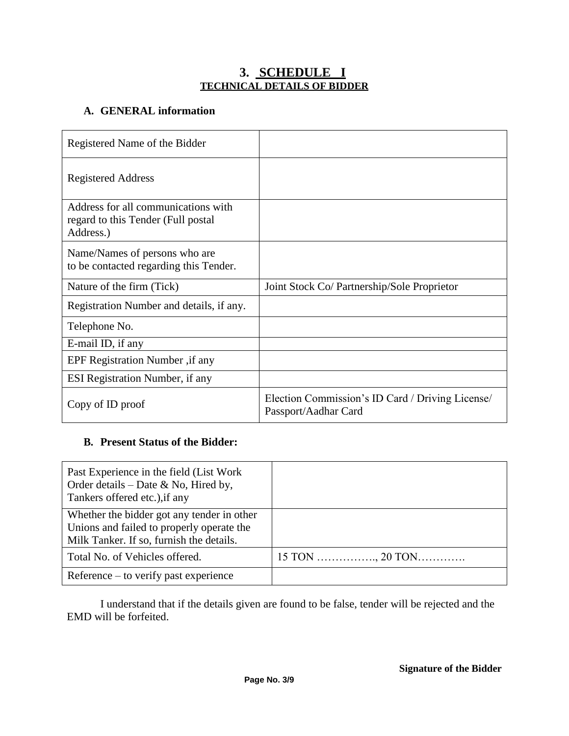#### **3. SCHEDULE I TECHNICAL DETAILS OF BIDDER**

#### **A. GENERAL information**

| Registered Name of the Bidder                                                          |                                                                          |  |  |  |
|----------------------------------------------------------------------------------------|--------------------------------------------------------------------------|--|--|--|
| <b>Registered Address</b>                                                              |                                                                          |  |  |  |
| Address for all communications with<br>regard to this Tender (Full postal<br>Address.) |                                                                          |  |  |  |
| Name/Names of persons who are<br>to be contacted regarding this Tender.                |                                                                          |  |  |  |
| Nature of the firm (Tick)                                                              | Joint Stock Co/ Partnership/Sole Proprietor                              |  |  |  |
| Registration Number and details, if any.                                               |                                                                          |  |  |  |
| Telephone No.                                                                          |                                                                          |  |  |  |
| E-mail ID, if any                                                                      |                                                                          |  |  |  |
| EPF Registration Number, if any                                                        |                                                                          |  |  |  |
| ESI Registration Number, if any                                                        |                                                                          |  |  |  |
| Copy of ID proof                                                                       | Election Commission's ID Card / Driving License/<br>Passport/Aadhar Card |  |  |  |

#### **B. Present Status of the Bidder:**

| Past Experience in the field (List Work)<br>Order details – Date & No, Hired by,<br>Tankers offered etc.), if any                   |                           |
|-------------------------------------------------------------------------------------------------------------------------------------|---------------------------|
| Whether the bidder got any tender in other<br>Unions and failed to properly operate the<br>Milk Tanker. If so, furnish the details. |                           |
| Total No. of Vehicles offered.                                                                                                      | $15 \text{ TON}$ , 20 TON |
| Reference $-$ to verify past experience                                                                                             |                           |

I understand that if the details given are found to be false, tender will be rejected and the EMD will be forfeited.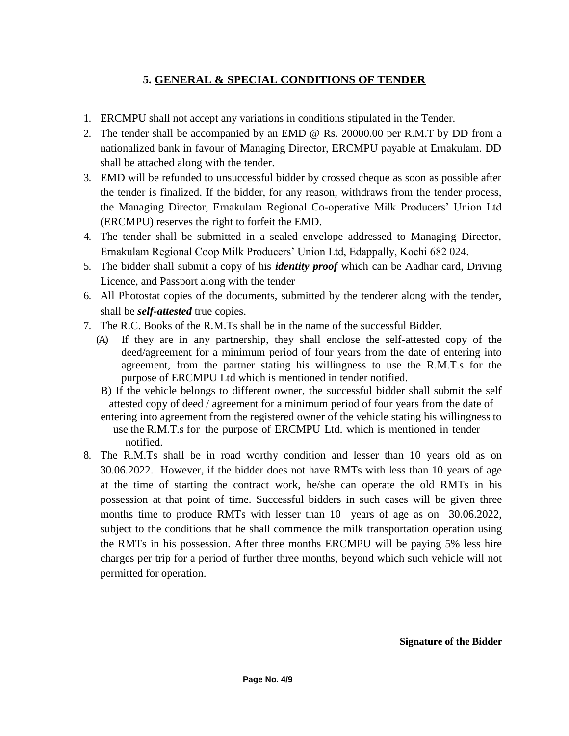### **5. GENERAL & SPECIAL CONDITIONS OF TENDER**

- 1. ERCMPU shall not accept any variations in conditions stipulated in the Tender.
- 2. The tender shall be accompanied by an EMD @ Rs. 20000.00 per R.M.T by DD from a nationalized bank in favour of Managing Director, ERCMPU payable at Ernakulam. DD shall be attached along with the tender.
- 3. EMD will be refunded to unsuccessful bidder by crossed cheque as soon as possible after the tender is finalized. If the bidder, for any reason, withdraws from the tender process, the Managing Director, Ernakulam Regional Co-operative Milk Producers' Union Ltd (ERCMPU) reserves the right to forfeit the EMD.
- 4. The tender shall be submitted in a sealed envelope addressed to Managing Director, Ernakulam Regional Coop Milk Producers' Union Ltd, Edappally, Kochi 682 024.
- 5. The bidder shall submit a copy of his *identity proof* which can be Aadhar card, Driving Licence, and Passport along with the tender
- 6. All Photostat copies of the documents, submitted by the tenderer along with the tender, shall be *self-attested* true copies.
- 7. The R.C. Books of the R.M.Ts shall be in the name of the successful Bidder.
	- (A) If they are in any partnership, they shall enclose the self-attested copy of the deed/agreement for a minimum period of four years from the date of entering into agreement, from the partner stating his willingness to use the R.M.T.s for the purpose of ERCMPU Ltd which is mentioned in tender notified.
	- B) If the vehicle belongs to different owner, the successful bidder shall submit the self attested copy of deed / agreement for a minimum period of four years from the date of
	- entering into agreement from the registered owner of the vehicle stating his willingness to use the R.M.T.s for the purpose of ERCMPU Ltd. which is mentioned in tender notified.
- 8. The R.M.Ts shall be in road worthy condition and lesser than 10 years old as on 30.06.2022. However, if the bidder does not have RMTs with less than 10 years of age at the time of starting the contract work, he/she can operate the old RMTs in his possession at that point of time. Successful bidders in such cases will be given three months time to produce RMTs with lesser than 10 years of age as on 30.06.2022, subject to the conditions that he shall commence the milk transportation operation using the RMTs in his possession. After three months ERCMPU will be paying 5% less hire charges per trip for a period of further three months, beyond which such vehicle will not permitted for operation.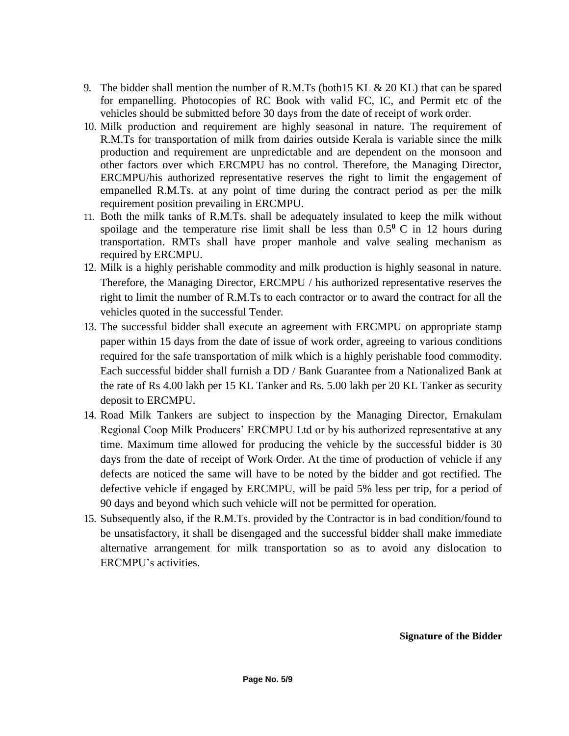- 9. The bidder shall mention the number of R.M.Ts (both 15 KL  $\&$  20 KL) that can be spared for empanelling. Photocopies of RC Book with valid FC, IC, and Permit etc of the vehicles should be submitted before 30 days from the date of receipt of work order.
- 10. Milk production and requirement are highly seasonal in nature. The requirement of R.M.Ts for transportation of milk from dairies outside Kerala is variable since the milk production and requirement are unpredictable and are dependent on the monsoon and other factors over which ERCMPU has no control. Therefore, the Managing Director, ERCMPU/his authorized representative reserves the right to limit the engagement of empanelled R.M.Ts. at any point of time during the contract period as per the milk requirement position prevailing in ERCMPU.
- 11. Both the milk tanks of R.M.Ts. shall be adequately insulated to keep the milk without spoilage and the temperature rise limit shall be less than  $0.5^{\circ}$  C in 12 hours during transportation. RMTs shall have proper manhole and valve sealing mechanism as required by ERCMPU.
- 12. Milk is a highly perishable commodity and milk production is highly seasonal in nature. Therefore, the Managing Director, ERCMPU / his authorized representative reserves the right to limit the number of R.M.Ts to each contractor or to award the contract for all the vehicles quoted in the successful Tender.
- 13. The successful bidder shall execute an agreement with ERCMPU on appropriate stamp paper within 15 days from the date of issue of work order, agreeing to various conditions required for the safe transportation of milk which is a highly perishable food commodity. Each successful bidder shall furnish a DD / Bank Guarantee from a Nationalized Bank at the rate of Rs 4.00 lakh per 15 KL Tanker and Rs. 5.00 lakh per 20 KL Tanker as security deposit to ERCMPU.
- 14. Road Milk Tankers are subject to inspection by the Managing Director, Ernakulam Regional Coop Milk Producers' ERCMPU Ltd or by his authorized representative at any time. Maximum time allowed for producing the vehicle by the successful bidder is 30 days from the date of receipt of Work Order. At the time of production of vehicle if any defects are noticed the same will have to be noted by the bidder and got rectified. The defective vehicle if engaged by ERCMPU, will be paid 5% less per trip, for a period of 90 days and beyond which such vehicle will not be permitted for operation.
- 15. Subsequently also, if the R.M.Ts. provided by the Contractor is in bad condition/found to be unsatisfactory, it shall be disengaged and the successful bidder shall make immediate alternative arrangement for milk transportation so as to avoid any dislocation to ERCMPU's activities.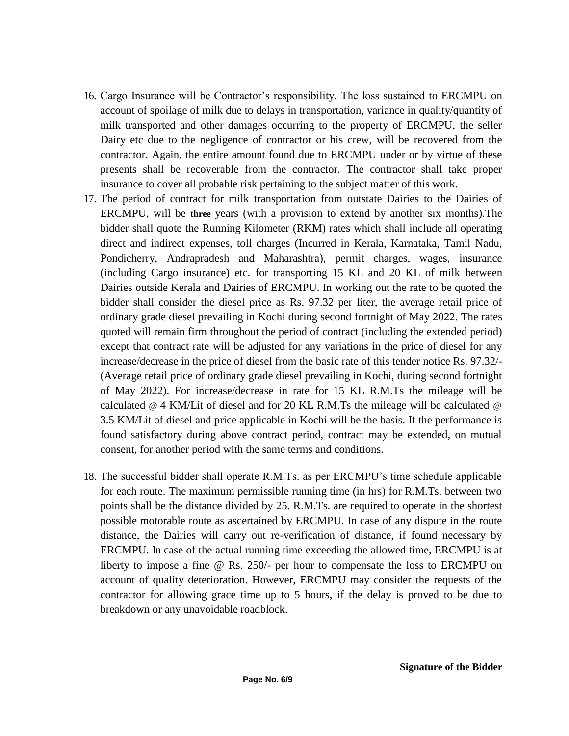- 16. Cargo Insurance will be Contractor's responsibility. The loss sustained to ERCMPU on account of spoilage of milk due to delays in transportation, variance in quality/quantity of milk transported and other damages occurring to the property of ERCMPU, the seller Dairy etc due to the negligence of contractor or his crew, will be recovered from the contractor. Again, the entire amount found due to ERCMPU under or by virtue of these presents shall be recoverable from the contractor. The contractor shall take proper insurance to cover all probable risk pertaining to the subject matter of this work.
- 17. The period of contract for milk transportation from outstate Dairies to the Dairies of ERCMPU, will be **three** years (with a provision to extend by another six months).The bidder shall quote the Running Kilometer (RKM) rates which shall include all operating direct and indirect expenses, toll charges (Incurred in Kerala, Karnataka, Tamil Nadu, Pondicherry, Andrapradesh and Maharashtra), permit charges, wages, insurance (including Cargo insurance) etc. for transporting 15 KL and 20 KL of milk between Dairies outside Kerala and Dairies of ERCMPU. In working out the rate to be quoted the bidder shall consider the diesel price as Rs. 97.32 per liter, the average retail price of ordinary grade diesel prevailing in Kochi during second fortnight of May 2022. The rates quoted will remain firm throughout the period of contract (including the extended period) except that contract rate will be adjusted for any variations in the price of diesel for any increase/decrease in the price of diesel from the basic rate of this tender notice Rs. 97.32/- (Average retail price of ordinary grade diesel prevailing in Kochi, during second fortnight of May 2022). For increase/decrease in rate for 15 KL R.M.Ts the mileage will be calculated  $\omega$  4 KM/Lit of diesel and for 20 KL R.M.Ts the mileage will be calculated  $\omega$ 3.5 KM/Lit of diesel and price applicable in Kochi will be the basis. If the performance is found satisfactory during above contract period, contract may be extended, on mutual consent, for another period with the same terms and conditions.
- 18. The successful bidder shall operate R.M.Ts. as per ERCMPU's time schedule applicable for each route. The maximum permissible running time (in hrs) for R.M.Ts. between two points shall be the distance divided by 25. R.M.Ts. are required to operate in the shortest possible motorable route as ascertained by ERCMPU. In case of any dispute in the route distance, the Dairies will carry out re-verification of distance, if found necessary by ERCMPU. In case of the actual running time exceeding the allowed time, ERCMPU is at liberty to impose a fine @ Rs. 250/- per hour to compensate the loss to ERCMPU on account of quality deterioration. However, ERCMPU may consider the requests of the contractor for allowing grace time up to 5 hours, if the delay is proved to be due to breakdown or any unavoidable roadblock.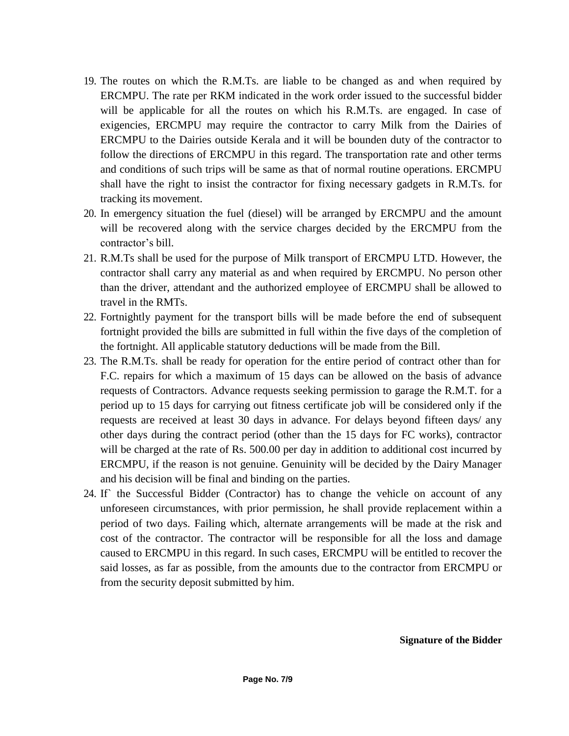- 19. The routes on which the R.M.Ts. are liable to be changed as and when required by ERCMPU. The rate per RKM indicated in the work order issued to the successful bidder will be applicable for all the routes on which his R.M.Ts. are engaged. In case of exigencies, ERCMPU may require the contractor to carry Milk from the Dairies of ERCMPU to the Dairies outside Kerala and it will be bounden duty of the contractor to follow the directions of ERCMPU in this regard. The transportation rate and other terms and conditions of such trips will be same as that of normal routine operations. ERCMPU shall have the right to insist the contractor for fixing necessary gadgets in R.M.Ts. for tracking its movement.
- 20. In emergency situation the fuel (diesel) will be arranged by ERCMPU and the amount will be recovered along with the service charges decided by the ERCMPU from the contractor's bill.
- 21. R.M.Ts shall be used for the purpose of Milk transport of ERCMPU LTD. However, the contractor shall carry any material as and when required by ERCMPU. No person other than the driver, attendant and the authorized employee of ERCMPU shall be allowed to travel in the RMTs.
- 22. Fortnightly payment for the transport bills will be made before the end of subsequent fortnight provided the bills are submitted in full within the five days of the completion of the fortnight. All applicable statutory deductions will be made from the Bill.
- 23. The R.M.Ts. shall be ready for operation for the entire period of contract other than for F.C. repairs for which a maximum of 15 days can be allowed on the basis of advance requests of Contractors. Advance requests seeking permission to garage the R.M.T. for a period up to 15 days for carrying out fitness certificate job will be considered only if the requests are received at least 30 days in advance. For delays beyond fifteen days/ any other days during the contract period (other than the 15 days for FC works), contractor will be charged at the rate of Rs. 500.00 per day in addition to additional cost incurred by ERCMPU, if the reason is not genuine. Genuinity will be decided by the Dairy Manager and his decision will be final and binding on the parties.
- 24. If` the Successful Bidder (Contractor) has to change the vehicle on account of any unforeseen circumstances, with prior permission, he shall provide replacement within a period of two days. Failing which, alternate arrangements will be made at the risk and cost of the contractor. The contractor will be responsible for all the loss and damage caused to ERCMPU in this regard. In such cases, ERCMPU will be entitled to recover the said losses, as far as possible, from the amounts due to the contractor from ERCMPU or from the security deposit submitted by him.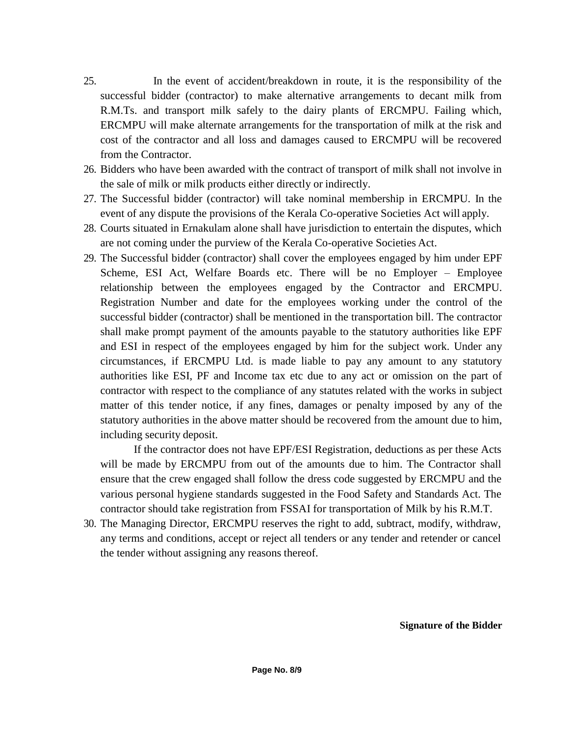- 25. In the event of accident/breakdown in route, it is the responsibility of the successful bidder (contractor) to make alternative arrangements to decant milk from R.M.Ts. and transport milk safely to the dairy plants of ERCMPU. Failing which, ERCMPU will make alternate arrangements for the transportation of milk at the risk and cost of the contractor and all loss and damages caused to ERCMPU will be recovered from the Contractor.
- 26. Bidders who have been awarded with the contract of transport of milk shall not involve in the sale of milk or milk products either directly or indirectly.
- 27. The Successful bidder (contractor) will take nominal membership in ERCMPU. In the event of any dispute the provisions of the Kerala Co-operative Societies Act will apply.
- 28. Courts situated in Ernakulam alone shall have jurisdiction to entertain the disputes, which are not coming under the purview of the Kerala Co-operative Societies Act.
- 29. The Successful bidder (contractor) shall cover the employees engaged by him under EPF Scheme, ESI Act, Welfare Boards etc. There will be no Employer – Employee relationship between the employees engaged by the Contractor and ERCMPU. Registration Number and date for the employees working under the control of the successful bidder (contractor) shall be mentioned in the transportation bill. The contractor shall make prompt payment of the amounts payable to the statutory authorities like EPF and ESI in respect of the employees engaged by him for the subject work. Under any circumstances, if ERCMPU Ltd. is made liable to pay any amount to any statutory authorities like ESI, PF and Income tax etc due to any act or omission on the part of contractor with respect to the compliance of any statutes related with the works in subject matter of this tender notice, if any fines, damages or penalty imposed by any of the statutory authorities in the above matter should be recovered from the amount due to him, including security deposit.

If the contractor does not have EPF/ESI Registration, deductions as per these Acts will be made by ERCMPU from out of the amounts due to him. The Contractor shall ensure that the crew engaged shall follow the dress code suggested by ERCMPU and the various personal hygiene standards suggested in the Food Safety and Standards Act. The contractor should take registration from FSSAI for transportation of Milk by his R.M.T.

30. The Managing Director, ERCMPU reserves the right to add, subtract, modify, withdraw, any terms and conditions, accept or reject all tenders or any tender and retender or cancel the tender without assigning any reasons thereof.